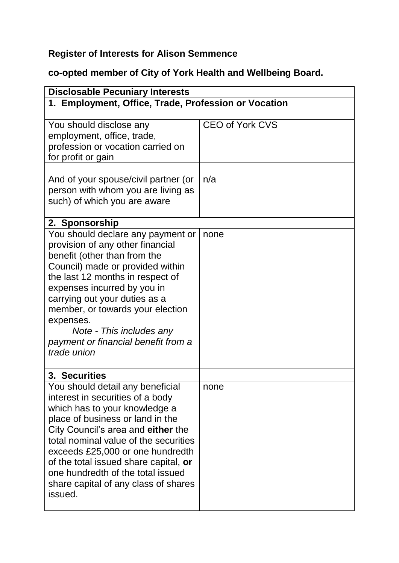## **Register of Interests for Alison Semmence**

## **co-opted member of City of York Health and Wellbeing Board.**

| <b>Disclosable Pecuniary Interests</b>                                                                                                                                                                                                                                                                                                                                                                         |                        |  |
|----------------------------------------------------------------------------------------------------------------------------------------------------------------------------------------------------------------------------------------------------------------------------------------------------------------------------------------------------------------------------------------------------------------|------------------------|--|
| 1. Employment, Office, Trade, Profession or Vocation                                                                                                                                                                                                                                                                                                                                                           |                        |  |
| You should disclose any<br>employment, office, trade,<br>profession or vocation carried on<br>for profit or gain                                                                                                                                                                                                                                                                                               | <b>CEO of York CVS</b> |  |
| And of your spouse/civil partner (or<br>person with whom you are living as<br>such) of which you are aware                                                                                                                                                                                                                                                                                                     | n/a                    |  |
| 2. Sponsorship<br>You should declare any payment or<br>provision of any other financial<br>benefit (other than from the<br>Council) made or provided within<br>the last 12 months in respect of<br>expenses incurred by you in<br>carrying out your duties as a<br>member, or towards your election<br>expenses.<br>Note - This includes any<br>payment or financial benefit from a<br>trade union             | none                   |  |
| 3. Securities<br>You should detail any beneficial<br>interest in securities of a body<br>which has to your knowledge a<br>place of business or land in the<br>City Council's area and either the<br>total nominal value of the securities<br>exceeds £25,000 or one hundredth<br>of the total issued share capital, or<br>one hundredth of the total issued<br>share capital of any class of shares<br>issued. | none                   |  |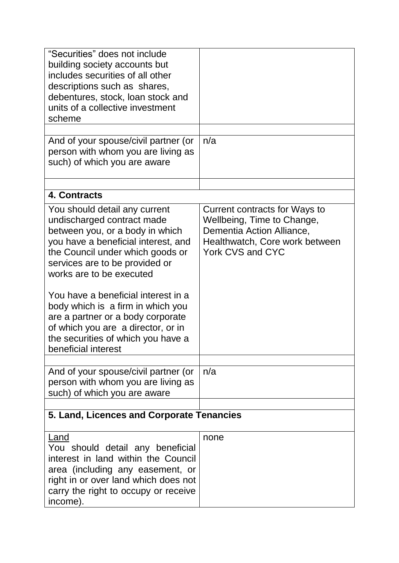| "Securities" does not include<br>building society accounts but<br>includes securities of all other<br>descriptions such as shares,<br>debentures, stock, loan stock and                                                                                                                                                                                                                                                                                     |                                                                                                                                                       |  |
|-------------------------------------------------------------------------------------------------------------------------------------------------------------------------------------------------------------------------------------------------------------------------------------------------------------------------------------------------------------------------------------------------------------------------------------------------------------|-------------------------------------------------------------------------------------------------------------------------------------------------------|--|
| units of a collective investment<br>scheme                                                                                                                                                                                                                                                                                                                                                                                                                  |                                                                                                                                                       |  |
| And of your spouse/civil partner (or<br>person with whom you are living as<br>such) of which you are aware                                                                                                                                                                                                                                                                                                                                                  | n/a                                                                                                                                                   |  |
| 4. Contracts                                                                                                                                                                                                                                                                                                                                                                                                                                                |                                                                                                                                                       |  |
| You should detail any current<br>undischarged contract made<br>between you, or a body in which<br>you have a beneficial interest, and<br>the Council under which goods or<br>services are to be provided or<br>works are to be executed<br>You have a beneficial interest in a<br>body which is a firm in which you<br>are a partner or a body corporate<br>of which you are a director, or in<br>the securities of which you have a<br>beneficial interest | Current contracts for Ways to<br>Wellbeing, Time to Change,<br>Dementia Action Alliance,<br>Healthwatch, Core work between<br><b>York CVS and CYC</b> |  |
| And of your spouse/civil partner (or<br>person with whom you are living as<br>such) of which you are aware                                                                                                                                                                                                                                                                                                                                                  | n/a                                                                                                                                                   |  |
| 5. Land, Licences and Corporate Tenancies                                                                                                                                                                                                                                                                                                                                                                                                                   |                                                                                                                                                       |  |
| Land<br>You should detail any beneficial<br>interest in land within the Council<br>area (including any easement, or<br>right in or over land which does not<br>carry the right to occupy or receive<br>income).                                                                                                                                                                                                                                             | none                                                                                                                                                  |  |